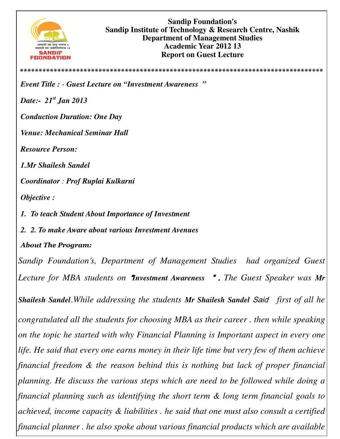

**\*\*\*\*\*\*\*\*\*\*\*\*\*\*\*\*\*\*\*\*\*\*\*\*\*\*\*\*\*\*\*\*\*\*\*\*\*\*\*\*\*\*\*\*\*\*\*\*\*\*\*\*\*\*\*\*\*\*\*\*\*\*\*\*\*\*\*\*\*\*\*\*\*\*\*\*\*\*\*\*\***

*Event Title : - Guest Lecture on "Investment Awareness "* 

*Date:- 21st Jan 2013* 

*Conduction Duration: One Day* 

*Venue: Mechanical Seminar Hall* 

*Resource Person:* 

*1.Mr Shailesh Sandel* 

*Coordinator : Prof Ruplai Kulkarni* 

*Objective :* 

*1. To teach Student About Importance of Investment* 

*2. 2. To make Aware about various Investment Avenues* 

## *About The Program:*

*Sandip Foundation's, Department of Management Studies had organized Guest Lecture for MBA students on* "*Investment Awareness* " . *The Guest Speaker was Mr Shailesh Sandel*.*While addressing the students Mr Shailesh Sandel* Said *first of all he congratulated all the students for choosing MBA as their career . then while speaking on the topic he started with why Financial Planning is Important aspect in every one life. He said that every one earns money in their life time but very few of them achieve financial freedom & the reason behind this is nothing but lack of proper financial planning. He discuss the various steps which are need to be followed while doing a financial planning such as identifying the short term & long term financial goals to achieved, income capacity & liabilities . he said that one must also consult a certified financial planner . he also spoke about various financial products which are available*